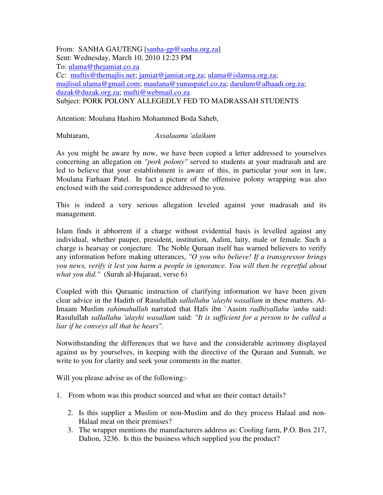From: SANHA GAUTENG [sanha-gp@sanha.org.za] Sent: Wednesday, March 10, 2010 12:23 PM To: ulama@thejamiat.co.za Cc: muftis@themajlis.net; jamiat@jamiat.org.za; ulama@islamsa.org.za; mujlisul.ulama@gmail.com; maulana@yunuspatel.co.za; darulum@alhaadi.org.za; duzak@duzak.org.za; mufti@webmail.co.za Subject: PORK POLONY ALLEGEDLY FED TO MADRASSAH STUDENTS

Attention: Moulana Hashim Mohammed Boda Saheb,

Muhtaram, *Assalaamu 'alaikum*

As you might be aware by now, we have been copied a letter addressed to yourselves concerning an allegation on *"pork polony"* served to students at your madrasah and are led to believe that your establishment is aware of this, in particular your son in law, Moulana Farhaan Patel. In fact a picture of the offensive polony wrapping was also enclosed with the said correspondence addressed to you.

This is indeed a very serious allegation leveled against your madrasah and its management.

Islam finds it abhorrent if a charge without evidential basis is levelled against any individual, whether pauper, president, institution, Aalim, laity, male or female. Such a charge is hearsay or conjecture. The Noble Quraan itself has warned believers to verify any information before making utterances, *"O you who believe! If a transgressor brings you news, verify it lest you harm a people in ignorance. You will then be regretful about what you did."* (Surah al-Hujaraat, verse 6)

Coupled with this Quraanic instruction of clarifying information we have been given clear advice in the Hadith of Rasulullah *sallallahu 'alayhi wasallam* in these matters. Al-Imaam Muslim *rahimahullah* narrated that Hafs ibn `Aasim *radhiyallahu 'anhu* said: Rasulullah *sallallahu 'alayhi wasallam* said: *"It is sufficient for a person to be called a liar if he conveys all that he hears".*

Notwithstanding the differences that we have and the considerable acrimony displayed against us by yourselves, in keeping with the directive of the Quraan and Sunnah, we write to you for clarity and seek your comments in the matter.

Will you please advise us of the following:-

- 1. From whom was this product sourced and what are their contact details?
	- 2. Is this supplier a Muslim or non-Muslim and do they process Halaal and non-Halaal meat on their premises?
	- 3. The wrapper mentions the manufacturers address as: Cooling farm, P.O. Box 217, Dalton, 3236. Is this the business which supplied you the product?